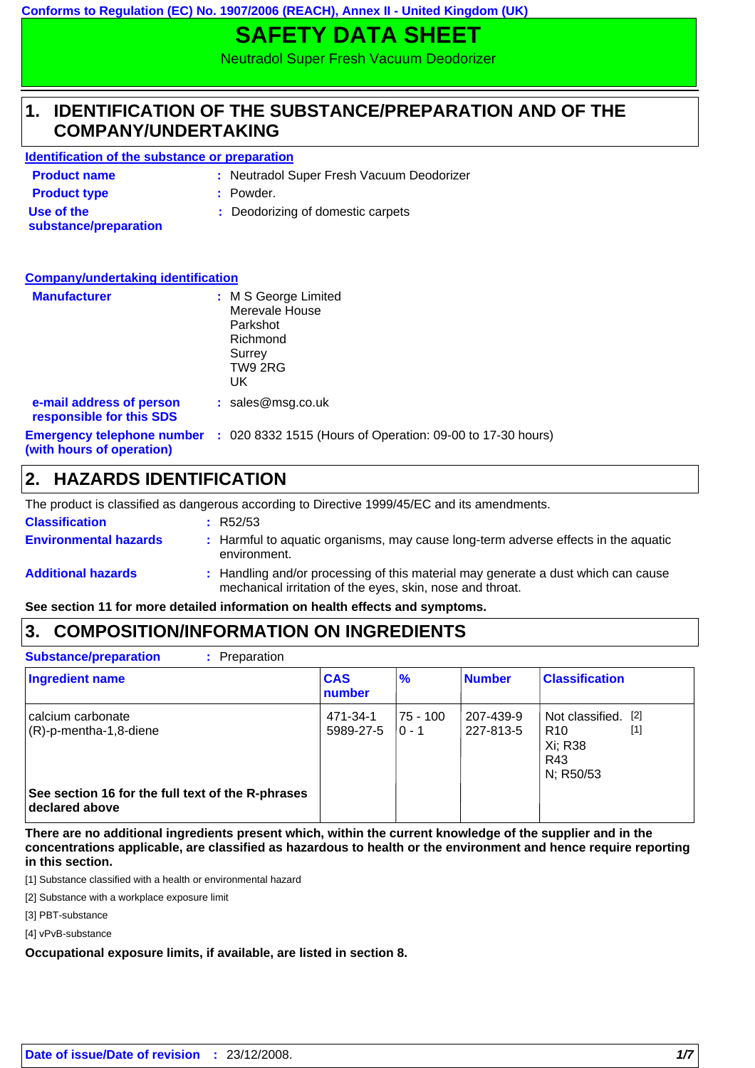**Conforms to Regulation (EC) No. 1907/2006 (REACH), Annex II - United Kingdom (UK)**

# **SAFETY DATA SHEET**

Neutradol Super Fresh Vacuum Deodorizer

#### **IDENTIFICATION OF THE SUBSTANCE/PREPARATION AND OF THE COMPANY/UNDERTAKING 1.**

### **Identification of the substance or preparation**

| <b>Product name</b>                 | : Neutradol Super Fresh Vacuum Deodorizer |
|-------------------------------------|-------------------------------------------|
| <b>Product type</b>                 | : Powder.                                 |
| Use of the<br>substance/preparation | : Deodorizing of domestic carpets         |

| <b>Company/undertaking identification</b>                      |                                                                                           |
|----------------------------------------------------------------|-------------------------------------------------------------------------------------------|
| <b>Manufacturer</b>                                            | : M S George Limited<br>Merevale House<br>Parkshot<br>Richmond<br>Surrey<br>TW9 2RG<br>UK |
| e-mail address of person<br>responsible for this SDS           | : sales@msg.co.uk                                                                         |
| <b>Emergency telephone number</b><br>(with hours of operation) | : 020 8332 1515 (Hours of Operation: 09-00 to 17-30 hours)                                |

### **2. HAZARDS IDENTIFICATION**

The product is classified as dangerous according to Directive 1999/45/EC and its amendments.

| <b>Classification</b>        | : R52/53                                                                                                                                       |
|------------------------------|------------------------------------------------------------------------------------------------------------------------------------------------|
| <b>Environmental hazards</b> | : Harmful to aquatic organisms, may cause long-term adverse effects in the aquatic<br>environment.                                             |
| <b>Additional hazards</b>    | : Handling and/or processing of this material may generate a dust which can cause<br>mechanical irritation of the eyes, skin, nose and throat. |

**See section 11 for more detailed information on health effects and symptoms.**

### **3. COMPOSITION/INFORMATION ON INGREDIENTS**

| <b>Ingredient name</b>                                              | <b>CAS</b><br>number  | $\frac{9}{6}$       | <b>Number</b>          | <b>Classification</b>                                                          |
|---------------------------------------------------------------------|-----------------------|---------------------|------------------------|--------------------------------------------------------------------------------|
| calcium carbonate<br>$(R)-p$ -mentha-1,8-diene                      | 471-34-1<br>5989-27-5 | 75 - 100<br>$0 - 1$ | 207-439-9<br>227-813-5 | Not classified. [2]<br>$[1]$<br>R <sub>10</sub><br>Xi; R38<br>R43<br>N; R50/53 |
| See section 16 for the full text of the R-phrases<br>declared above |                       |                     |                        |                                                                                |

**There are no additional ingredients present which, within the current knowledge of the supplier and in the concentrations applicable, are classified as hazardous to health or the environment and hence require reporting in this section.**

[1] Substance classified with a health or environmental hazard

[2] Substance with a workplace exposure limit

[3] PBT-substance

[4] vPvB-substance

### **Occupational exposure limits, if available, are listed in section 8.**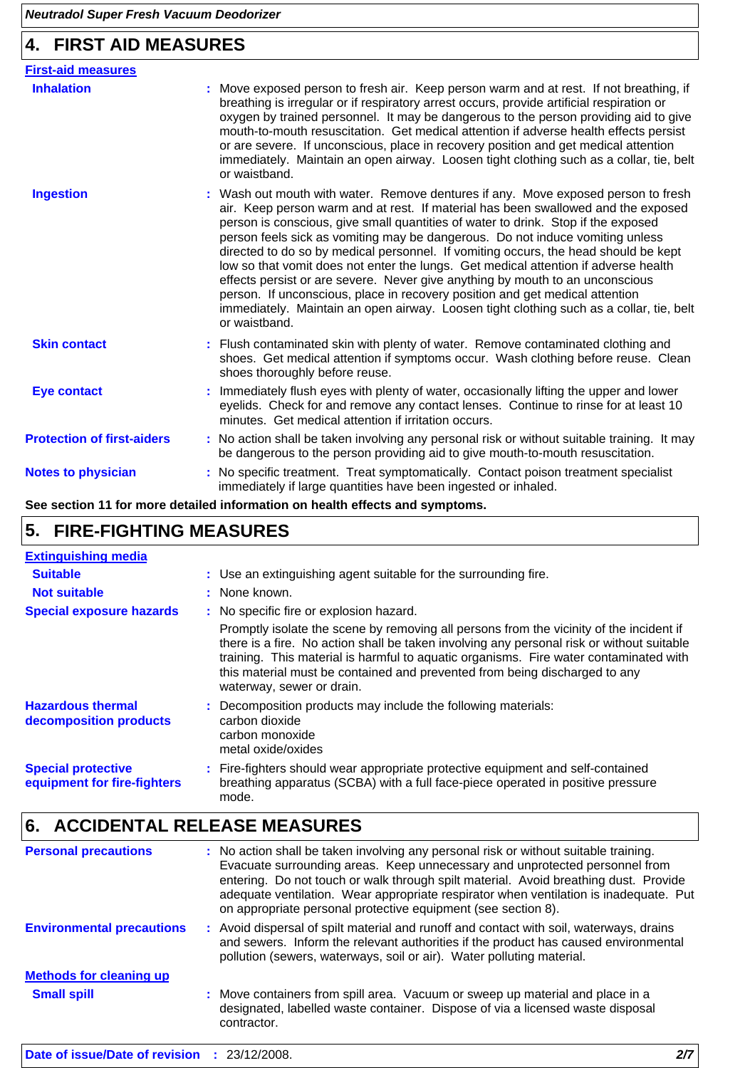# **4. FIRST AID MEASURES**

| <b>First-aid measures</b>         |                                                                                                                                                                                                                                                                                                                                                                                                                                                                                                                                                                                                                                                                                                                                                                                                         |
|-----------------------------------|---------------------------------------------------------------------------------------------------------------------------------------------------------------------------------------------------------------------------------------------------------------------------------------------------------------------------------------------------------------------------------------------------------------------------------------------------------------------------------------------------------------------------------------------------------------------------------------------------------------------------------------------------------------------------------------------------------------------------------------------------------------------------------------------------------|
| <b>Inhalation</b>                 | : Move exposed person to fresh air. Keep person warm and at rest. If not breathing, if<br>breathing is irregular or if respiratory arrest occurs, provide artificial respiration or<br>oxygen by trained personnel. It may be dangerous to the person providing aid to give<br>mouth-to-mouth resuscitation. Get medical attention if adverse health effects persist<br>or are severe. If unconscious, place in recovery position and get medical attention<br>immediately. Maintain an open airway. Loosen tight clothing such as a collar, tie, belt<br>or waistband.                                                                                                                                                                                                                                 |
| <b>Ingestion</b>                  | : Wash out mouth with water. Remove dentures if any. Move exposed person to fresh<br>air. Keep person warm and at rest. If material has been swallowed and the exposed<br>person is conscious, give small quantities of water to drink. Stop if the exposed<br>person feels sick as vomiting may be dangerous. Do not induce vomiting unless<br>directed to do so by medical personnel. If vomiting occurs, the head should be kept<br>low so that vomit does not enter the lungs. Get medical attention if adverse health<br>effects persist or are severe. Never give anything by mouth to an unconscious<br>person. If unconscious, place in recovery position and get medical attention<br>immediately. Maintain an open airway. Loosen tight clothing such as a collar, tie, belt<br>or waistband. |
| <b>Skin contact</b>               | : Flush contaminated skin with plenty of water. Remove contaminated clothing and<br>shoes. Get medical attention if symptoms occur. Wash clothing before reuse. Clean<br>shoes thoroughly before reuse.                                                                                                                                                                                                                                                                                                                                                                                                                                                                                                                                                                                                 |
| <b>Eye contact</b>                | Immediately flush eyes with plenty of water, occasionally lifting the upper and lower<br>eyelids. Check for and remove any contact lenses. Continue to rinse for at least 10<br>minutes. Get medical attention if irritation occurs.                                                                                                                                                                                                                                                                                                                                                                                                                                                                                                                                                                    |
| <b>Protection of first-aiders</b> | : No action shall be taken involving any personal risk or without suitable training. It may<br>be dangerous to the person providing aid to give mouth-to-mouth resuscitation.                                                                                                                                                                                                                                                                                                                                                                                                                                                                                                                                                                                                                           |
| <b>Notes to physician</b>         | : No specific treatment. Treat symptomatically. Contact poison treatment specialist<br>immediately if large quantities have been ingested or inhaled.                                                                                                                                                                                                                                                                                                                                                                                                                                                                                                                                                                                                                                                   |

**See section 11 for more detailed information on health effects and symptoms.**

# **5. FIRE-FIGHTING MEASURES**

| <b>Extinguishing media</b>                               |                                                                                                                                                                                                                                                                                                                                                                                          |
|----------------------------------------------------------|------------------------------------------------------------------------------------------------------------------------------------------------------------------------------------------------------------------------------------------------------------------------------------------------------------------------------------------------------------------------------------------|
| <b>Suitable</b>                                          | : Use an extinguishing agent suitable for the surrounding fire.                                                                                                                                                                                                                                                                                                                          |
| <b>Not suitable</b>                                      | : None known.                                                                                                                                                                                                                                                                                                                                                                            |
| <b>Special exposure hazards</b>                          | : No specific fire or explosion hazard.                                                                                                                                                                                                                                                                                                                                                  |
|                                                          | Promptly isolate the scene by removing all persons from the vicinity of the incident if<br>there is a fire. No action shall be taken involving any personal risk or without suitable<br>training. This material is harmful to aquatic organisms. Fire water contaminated with<br>this material must be contained and prevented from being discharged to any<br>waterway, sewer or drain. |
| <b>Hazardous thermal</b><br>decomposition products       | : Decomposition products may include the following materials:<br>carbon dioxide<br>carbon monoxide<br>metal oxide/oxides                                                                                                                                                                                                                                                                 |
| <b>Special protective</b><br>equipment for fire-fighters | : Fire-fighters should wear appropriate protective equipment and self-contained<br>breathing apparatus (SCBA) with a full face-piece operated in positive pressure<br>mode.                                                                                                                                                                                                              |

# **6. ACCIDENTAL RELEASE MEASURES**

| <b>Personal precautions</b>                  | : No action shall be taken involving any personal risk or without suitable training.<br>Evacuate surrounding areas. Keep unnecessary and unprotected personnel from<br>entering. Do not touch or walk through spilt material. Avoid breathing dust. Provide<br>adequate ventilation. Wear appropriate respirator when ventilation is inadequate. Put<br>on appropriate personal protective equipment (see section 8). |     |
|----------------------------------------------|-----------------------------------------------------------------------------------------------------------------------------------------------------------------------------------------------------------------------------------------------------------------------------------------------------------------------------------------------------------------------------------------------------------------------|-----|
| <b>Environmental precautions</b>             | : Avoid dispersal of spilt material and runoff and contact with soil, waterways, drains<br>and sewers. Inform the relevant authorities if the product has caused environmental<br>pollution (sewers, waterways, soil or air). Water polluting material.                                                                                                                                                               |     |
| <b>Methods for cleaning up</b>               |                                                                                                                                                                                                                                                                                                                                                                                                                       |     |
| <b>Small spill</b>                           | : Move containers from spill area. Vacuum or sweep up material and place in a<br>designated, labelled waste container. Dispose of via a licensed waste disposal<br>contractor.                                                                                                                                                                                                                                        |     |
| Date of issue/Date of revision : 23/12/2008. |                                                                                                                                                                                                                                                                                                                                                                                                                       | 2/7 |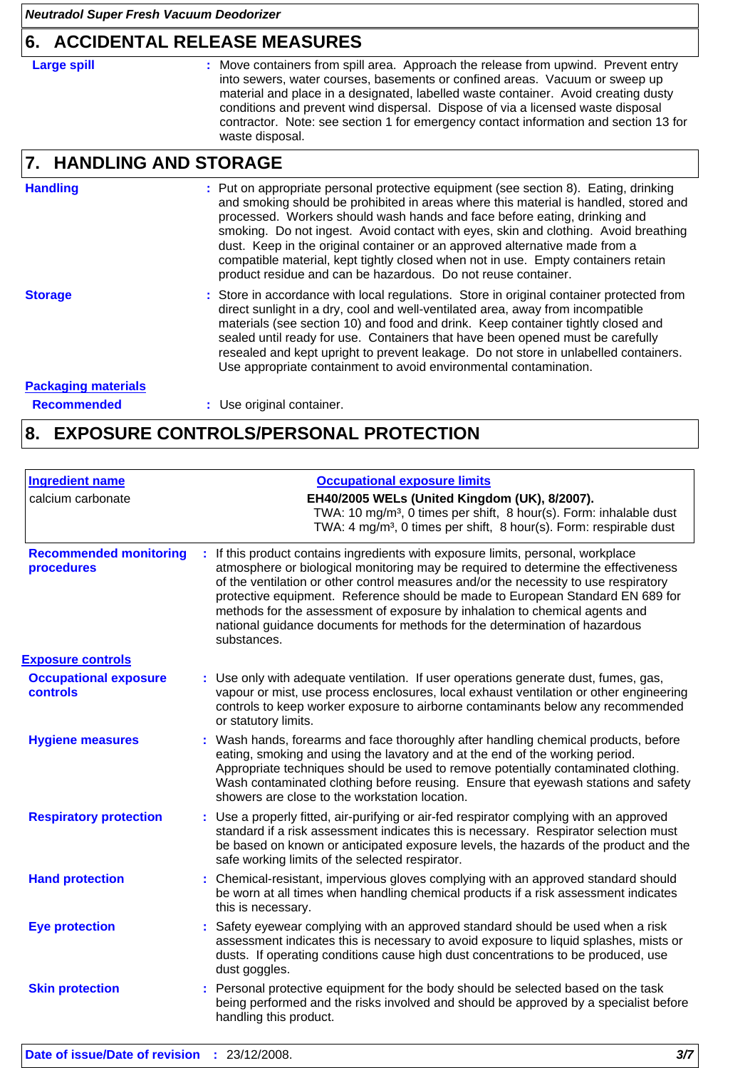### **6. ACCIDENTAL RELEASE MEASURES**

**Large spill :**

: Move containers from spill area. Approach the release from upwind. Prevent entry into sewers, water courses, basements or confined areas. Vacuum or sweep up material and place in a designated, labelled waste container. Avoid creating dusty conditions and prevent wind dispersal. Dispose of via a licensed waste disposal contractor. Note: see section 1 for emergency contact information and section 13 for waste disposal.

#### **HANDLING AND STORAGE 7.**

#### **Handling**

Put on appropriate personal protective equipment (see section 8). Eating, drinking **:** and smoking should be prohibited in areas where this material is handled, stored and processed. Workers should wash hands and face before eating, drinking and smoking. Do not ingest. Avoid contact with eyes, skin and clothing. Avoid breathing dust. Keep in the original container or an approved alternative made from a compatible material, kept tightly closed when not in use. Empty containers retain product residue and can be hazardous. Do not reuse container.

#### **Storage**

Store in accordance with local regulations. Store in original container protected from **:** direct sunlight in a dry, cool and well-ventilated area, away from incompatible materials (see section 10) and food and drink. Keep container tightly closed and sealed until ready for use. Containers that have been opened must be carefully resealed and kept upright to prevent leakage. Do not store in unlabelled containers. Use appropriate containment to avoid environmental contamination.

### **Packaging materials**

**Recommended :** Use original container.

### **8. EXPOSURE CONTROLS/PERSONAL PROTECTION**

| <b>Occupational exposure limits</b>                                                                                                                                                                                                                                                                                                                                                                                                                                                                                          |
|------------------------------------------------------------------------------------------------------------------------------------------------------------------------------------------------------------------------------------------------------------------------------------------------------------------------------------------------------------------------------------------------------------------------------------------------------------------------------------------------------------------------------|
| EH40/2005 WELs (United Kingdom (UK), 8/2007).<br>TWA: 10 mg/m <sup>3</sup> , 0 times per shift, 8 hour(s). Form: inhalable dust<br>TWA: 4 mg/m <sup>3</sup> , 0 times per shift, 8 hour(s). Form: respirable dust                                                                                                                                                                                                                                                                                                            |
| : If this product contains ingredients with exposure limits, personal, workplace<br>atmosphere or biological monitoring may be required to determine the effectiveness<br>of the ventilation or other control measures and/or the necessity to use respiratory<br>protective equipment. Reference should be made to European Standard EN 689 for<br>methods for the assessment of exposure by inhalation to chemical agents and<br>national guidance documents for methods for the determination of hazardous<br>substances. |
|                                                                                                                                                                                                                                                                                                                                                                                                                                                                                                                              |
| : Use only with adequate ventilation. If user operations generate dust, fumes, gas,<br>vapour or mist, use process enclosures, local exhaust ventilation or other engineering<br>controls to keep worker exposure to airborne contaminants below any recommended<br>or statutory limits.                                                                                                                                                                                                                                     |
| : Wash hands, forearms and face thoroughly after handling chemical products, before<br>eating, smoking and using the lavatory and at the end of the working period.<br>Appropriate techniques should be used to remove potentially contaminated clothing.<br>Wash contaminated clothing before reusing. Ensure that eyewash stations and safety<br>showers are close to the workstation location.                                                                                                                            |
| Use a properly fitted, air-purifying or air-fed respirator complying with an approved<br>standard if a risk assessment indicates this is necessary. Respirator selection must<br>be based on known or anticipated exposure levels, the hazards of the product and the<br>safe working limits of the selected respirator.                                                                                                                                                                                                     |
| Chemical-resistant, impervious gloves complying with an approved standard should<br>be worn at all times when handling chemical products if a risk assessment indicates<br>this is necessary.                                                                                                                                                                                                                                                                                                                                |
| Safety eyewear complying with an approved standard should be used when a risk<br>assessment indicates this is necessary to avoid exposure to liquid splashes, mists or<br>dusts. If operating conditions cause high dust concentrations to be produced, use<br>dust goggles.                                                                                                                                                                                                                                                 |
| Personal protective equipment for the body should be selected based on the task<br>being performed and the risks involved and should be approved by a specialist before<br>handling this product.                                                                                                                                                                                                                                                                                                                            |
|                                                                                                                                                                                                                                                                                                                                                                                                                                                                                                                              |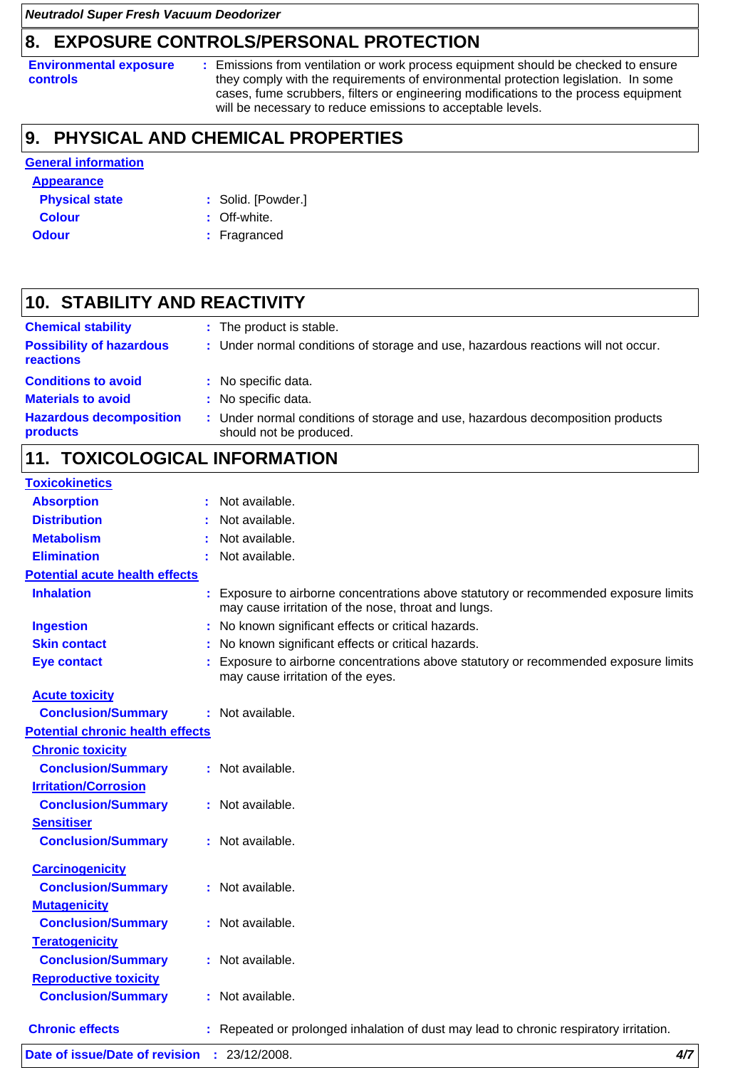## **8. EXPOSURE CONTROLS/PERSONAL PROTECTION**

**Environmental exposure controls**

**:** Emissions from ventilation or work process equipment should be checked to ensure they comply with the requirements of environmental protection legislation. In some cases, fume scrubbers, filters or engineering modifications to the process equipment will be necessary to reduce emissions to acceptable levels.

#### **PHYSICAL AND CHEMICAL PROPERTIES 9.**

### **General information**

#### **Appearance**

| <b>Physical state</b> | : Solid. [Powder.] |
|-----------------------|--------------------|
| Colour                | $\cdot$ Off white  |

- 
- 
- **Colour** : Off-white.
- **Odour** : Fragranced

#### **STABILITY AND REACTIVITY 10.**

| <b>Chemical stability</b>                    | : The product is stable.                                                                                  |
|----------------------------------------------|-----------------------------------------------------------------------------------------------------------|
| <b>Possibility of hazardous</b><br>reactions | : Under normal conditions of storage and use, hazardous reactions will not occur.                         |
| <b>Conditions to avoid</b>                   | : No specific data.                                                                                       |
| <b>Materials to avoid</b>                    | : No specific data.                                                                                       |
| <b>Hazardous decomposition</b><br>products   | : Under normal conditions of storage and use, hazardous decomposition products<br>should not be produced. |

### **11. TOXICOLOGICAL INFORMATION**

| <b>Toxicokinetics</b>                   |                                                                                                                                           |     |
|-----------------------------------------|-------------------------------------------------------------------------------------------------------------------------------------------|-----|
| <b>Absorption</b>                       | Not available.                                                                                                                            |     |
| <b>Distribution</b>                     | Not available.                                                                                                                            |     |
| <b>Metabolism</b>                       | Not available.                                                                                                                            |     |
| <b>Elimination</b>                      | Not available.                                                                                                                            |     |
| <b>Potential acute health effects</b>   |                                                                                                                                           |     |
| <b>Inhalation</b>                       | Exposure to airborne concentrations above statutory or recommended exposure limits<br>may cause irritation of the nose, throat and lungs. |     |
| <b>Ingestion</b>                        | : No known significant effects or critical hazards.                                                                                       |     |
| <b>Skin contact</b>                     | No known significant effects or critical hazards.                                                                                         |     |
| <b>Eye contact</b>                      | Exposure to airborne concentrations above statutory or recommended exposure limits<br>may cause irritation of the eyes.                   |     |
| <b>Acute toxicity</b>                   |                                                                                                                                           |     |
| <b>Conclusion/Summary</b>               | Not available.                                                                                                                            |     |
| <b>Potential chronic health effects</b> |                                                                                                                                           |     |
| <b>Chronic toxicity</b>                 |                                                                                                                                           |     |
| <b>Conclusion/Summary</b>               | : Not available.                                                                                                                          |     |
| <b>Irritation/Corrosion</b>             |                                                                                                                                           |     |
| <b>Conclusion/Summary</b>               | : Not available.                                                                                                                          |     |
| <b>Sensitiser</b>                       |                                                                                                                                           |     |
| <b>Conclusion/Summary</b>               | : Not available.                                                                                                                          |     |
| <b>Carcinogenicity</b>                  |                                                                                                                                           |     |
| <b>Conclusion/Summary</b>               | : Not available.                                                                                                                          |     |
| <b>Mutagenicity</b>                     |                                                                                                                                           |     |
| <b>Conclusion/Summary</b>               | : Not available.                                                                                                                          |     |
| <b>Teratogenicity</b>                   |                                                                                                                                           |     |
| <b>Conclusion/Summary</b>               | : Not available.                                                                                                                          |     |
| <b>Reproductive toxicity</b>            |                                                                                                                                           |     |
| <b>Conclusion/Summary</b>               | : Not available.                                                                                                                          |     |
| <b>Chronic effects</b>                  | : Repeated or prolonged inhalation of dust may lead to chronic respiratory irritation.                                                    |     |
| Date of issue/Date of revision          | : 23/12/2008.                                                                                                                             | 4/7 |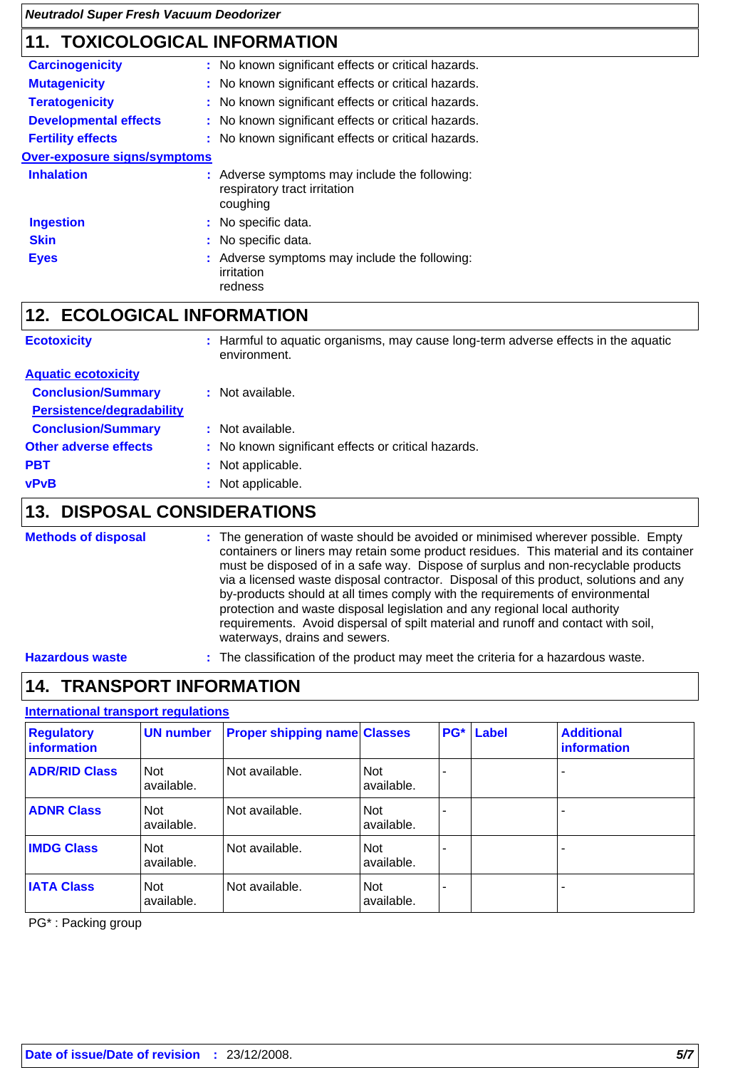## **11. TOXICOLOGICAL INFORMATION**

| <b>Carcinogenicity</b>              | : No known significant effects or critical hazards.                                       |
|-------------------------------------|-------------------------------------------------------------------------------------------|
| <b>Mutagenicity</b>                 | : No known significant effects or critical hazards.                                       |
| <b>Teratogenicity</b>               | : No known significant effects or critical hazards.                                       |
| <b>Developmental effects</b>        | : No known significant effects or critical hazards.                                       |
| <b>Fertility effects</b>            | : No known significant effects or critical hazards.                                       |
| <b>Over-exposure signs/symptoms</b> |                                                                                           |
| <b>Inhalation</b>                   | : Adverse symptoms may include the following:<br>respiratory tract irritation<br>coughing |
| <b>Ingestion</b>                    | : No specific data.                                                                       |
| <b>Skin</b>                         | : No specific data.                                                                       |
| <b>Eyes</b>                         | : Adverse symptoms may include the following:<br>irritation<br>redness                    |

### **12. ECOLOGICAL INFORMATION**

| <b>Ecotoxicity</b>               | : Harmful to aquatic organisms, may cause long-term adverse effects in the aquatic<br>environment. |
|----------------------------------|----------------------------------------------------------------------------------------------------|
| <b>Aquatic ecotoxicity</b>       |                                                                                                    |
| <b>Conclusion/Summary</b>        | : Not available.                                                                                   |
| <b>Persistence/degradability</b> |                                                                                                    |
| <b>Conclusion/Summary</b>        | : Not available.                                                                                   |
| <b>Other adverse effects</b>     | : No known significant effects or critical hazards.                                                |
| <b>PBT</b>                       | : Not applicable.                                                                                  |
| <b>vPvB</b>                      | Not applicable.                                                                                    |

## **13. DISPOSAL CONSIDERATIONS**

#### The generation of waste should be avoided or minimised wherever possible. Empty containers or liners may retain some product residues. This material and its container must be disposed of in a safe way. Dispose of surplus and non-recyclable products via a licensed waste disposal contractor. Disposal of this product, solutions and any by-products should at all times comply with the requirements of environmental protection and waste disposal legislation and any regional local authority requirements. Avoid dispersal of spilt material and runoff and contact with soil, waterways, drains and sewers. **Methods of disposal :**

**Hazardous waste :** The classification of the product may meet the criteria for a hazardous waste.

#### **14. TRANSPORT INFORMATION**

### **International transport regulations**

| <b>Regulatory</b><br>information | <b>UN number</b>         | <b>Proper shipping name Classes</b> |                          | PG <sup>*</sup> | Label | <b>Additional</b><br>information |
|----------------------------------|--------------------------|-------------------------------------|--------------------------|-----------------|-------|----------------------------------|
| <b>ADR/RID Class</b>             | <b>Not</b><br>available. | Not available.                      | <b>Not</b><br>available. |                 |       |                                  |
| <b>ADNR Class</b>                | <b>Not</b><br>available. | Not available.                      | <b>Not</b><br>available. |                 |       | $\blacksquare$                   |
| <b>IMDG Class</b>                | <b>Not</b><br>available. | Not available.                      | Not<br>available.        |                 |       |                                  |
| <b>IATA Class</b>                | <b>Not</b><br>available. | Not available.                      | Not<br>available.        |                 |       |                                  |

PG\* : Packing group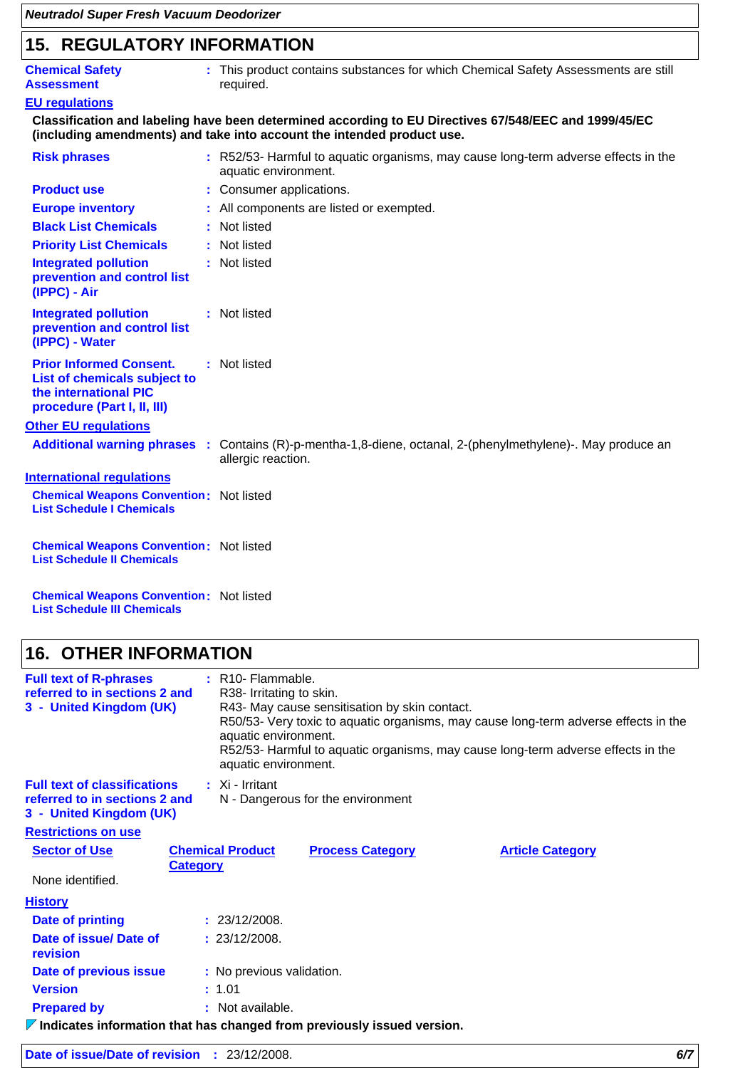| <b>15. REGULATORY INFORMATION</b>                                                                                      |  |                                                                                                                                                                                 |  |
|------------------------------------------------------------------------------------------------------------------------|--|---------------------------------------------------------------------------------------------------------------------------------------------------------------------------------|--|
| <b>Chemical Safety</b><br><b>Assessment</b>                                                                            |  | : This product contains substances for which Chemical Safety Assessments are still<br>required.                                                                                 |  |
| <b>EU regulations</b>                                                                                                  |  |                                                                                                                                                                                 |  |
|                                                                                                                        |  | Classification and labeling have been determined according to EU Directives 67/548/EEC and 1999/45/EC<br>(including amendments) and take into account the intended product use. |  |
| <b>Risk phrases</b>                                                                                                    |  | : R52/53- Harmful to aquatic organisms, may cause long-term adverse effects in the<br>aquatic environment.                                                                      |  |
| <b>Product use</b>                                                                                                     |  | : Consumer applications.                                                                                                                                                        |  |
| <b>Europe inventory</b>                                                                                                |  | : All components are listed or exempted.                                                                                                                                        |  |
| <b>Black List Chemicals</b>                                                                                            |  | : Not listed                                                                                                                                                                    |  |
| <b>Priority List Chemicals</b>                                                                                         |  | : Not listed                                                                                                                                                                    |  |
| <b>Integrated pollution</b><br>prevention and control list<br>(IPPC) - Air                                             |  | : Not listed                                                                                                                                                                    |  |
| <b>Integrated pollution</b><br>prevention and control list<br>(IPPC) - Water                                           |  | : Not listed                                                                                                                                                                    |  |
| <b>Prior Informed Consent.</b><br>List of chemicals subject to<br>the international PIC<br>procedure (Part I, II, III) |  | : Not listed                                                                                                                                                                    |  |
| <b>Other EU regulations</b>                                                                                            |  |                                                                                                                                                                                 |  |
|                                                                                                                        |  | Additional warning phrases : Contains (R)-p-mentha-1,8-diene, octanal, 2-(phenylmethylene)-. May produce an<br>allergic reaction.                                               |  |
| <b>International regulations</b>                                                                                       |  |                                                                                                                                                                                 |  |
| <b>Chemical Weapons Convention: Not listed</b><br><b>List Schedule I Chemicals</b>                                     |  |                                                                                                                                                                                 |  |
| <b>Chemical Weapons Convention: Not listed</b><br><b>List Schedule II Chemicals</b>                                    |  |                                                                                                                                                                                 |  |
| <b>Chemical Weapons Convention: Not listed</b><br><b>List Schedule III Chemicals</b>                                   |  |                                                                                                                                                                                 |  |

### **16. OTHER INFORMATION**

| <b>Full text of R-phrases</b><br>referred to in sections 2 and<br>3 - United Kingdom (UK) |                 | $:$ R <sub>10</sub> - Flammable.<br>R38- Irritating to skin.<br>R43- May cause sensitisation by skin contact.<br>R50/53- Very toxic to aquatic organisms, may cause long-term adverse effects in the<br>aquatic environment.<br>R52/53- Harmful to aquatic organisms, may cause long-term adverse effects in the<br>aquatic environment. |                         |                         |  |
|-------------------------------------------------------------------------------------------|-----------------|------------------------------------------------------------------------------------------------------------------------------------------------------------------------------------------------------------------------------------------------------------------------------------------------------------------------------------------|-------------------------|-------------------------|--|
| <b>Full text of classifications</b>                                                       |                 | $\therefore$ Xi - Irritant                                                                                                                                                                                                                                                                                                               |                         |                         |  |
| referred to in sections 2 and<br>3 - United Kingdom (UK)                                  |                 | N - Dangerous for the environment                                                                                                                                                                                                                                                                                                        |                         |                         |  |
| <b>Restrictions on use</b>                                                                |                 |                                                                                                                                                                                                                                                                                                                                          |                         |                         |  |
| <b>Sector of Use</b>                                                                      | <b>Category</b> | <b>Chemical Product</b>                                                                                                                                                                                                                                                                                                                  | <b>Process Category</b> | <b>Article Category</b> |  |
| None identified.                                                                          |                 |                                                                                                                                                                                                                                                                                                                                          |                         |                         |  |
| <b>History</b>                                                                            |                 |                                                                                                                                                                                                                                                                                                                                          |                         |                         |  |
| Date of printing                                                                          |                 | : 23/12/2008.                                                                                                                                                                                                                                                                                                                            |                         |                         |  |
| Date of issue/Date of<br>revision                                                         |                 | : 23/12/2008.                                                                                                                                                                                                                                                                                                                            |                         |                         |  |
| Date of previous issue                                                                    |                 | : No previous validation.                                                                                                                                                                                                                                                                                                                |                         |                         |  |
| <b>Version</b>                                                                            |                 | : 1.01                                                                                                                                                                                                                                                                                                                                   |                         |                         |  |
| <b>Prepared by</b>                                                                        |                 | : Not available.                                                                                                                                                                                                                                                                                                                         |                         |                         |  |

**Indicates information that has changed from previously issued version.**

| <b>Date of issue/Date of revision : 23/12/2008.</b> |  |  |
|-----------------------------------------------------|--|--|
|-----------------------------------------------------|--|--|